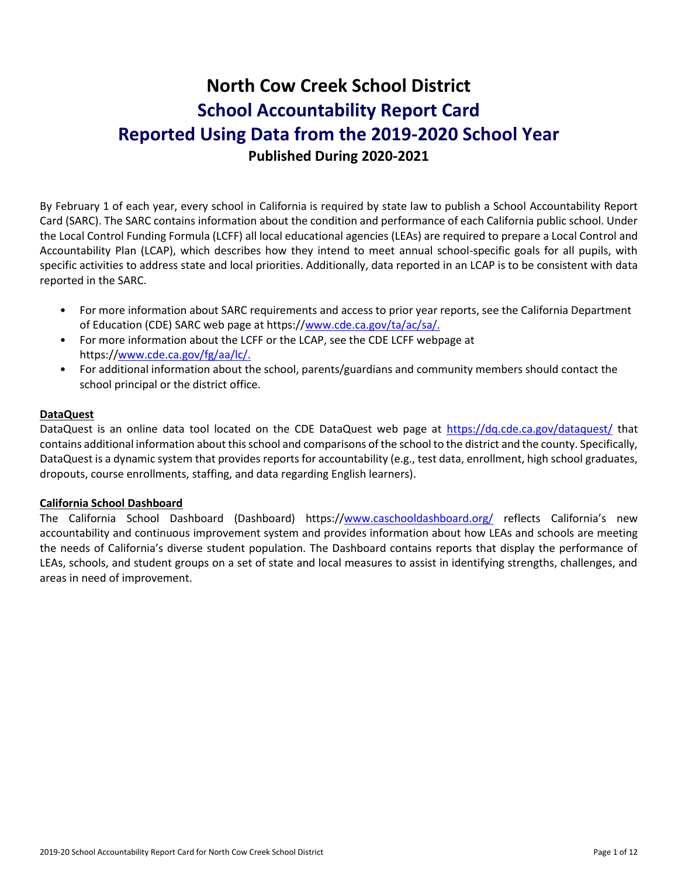# **North Cow Creek School District School Accountability Report Card Reported Using Data from the 2019-2020 School Year Published During 2020-2021**

By February 1 of each year, every school in California is required by state law to publish a School Accountability Report Card (SARC). The SARC contains information about the condition and performance of each California public school. Under the Local Control Funding Formula (LCFF) all local educational agencies (LEAs) are required to prepare a Local Control and Accountability Plan (LCAP), which describes how they intend to meet annual school-specific goals for all pupils, with specific activities to address state and local priorities. Additionally, data reported in an LCAP is to be consistent with data reported in the SARC.

- For more information about SARC requirements and access to prior year reports, see the California Department of Education (CDE) SARC web page at https:/[/www.cde.ca.gov/ta/ac/sa/.](https://www.cde.ca.gov/ta/ac/sa/)
- For more information about the LCFF or the LCAP, see the CDE LCFF webpage at https:/[/www.cde.ca.gov/fg/aa/lc/.](https://www.cde.ca.gov/fg/aa/lc/)
- For additional information about the school, parents/guardians and community members should contact the school principal or the district office.

## **DataQuest**

DataQuest is an online data tool located on the CDE DataQuest web page at<https://dq.cde.ca.gov/dataquest/> that contains additional information about this school and comparisons of the school to the district and the county. Specifically, DataQuest is a dynamic system that provides reports for accountability (e.g., test data, enrollment, high school graduates, dropouts, course enrollments, staffing, and data regarding English learners).

#### **California School Dashboard**

The California School Dashboard (Dashboard) https:/[/www.caschooldashboard.org/](https://www.caschooldashboard.org/) reflects California's new accountability and continuous improvement system and provides information about how LEAs and schools are meeting the needs of California's diverse student population. The Dashboard contains reports that display the performance of LEAs, schools, and student groups on a set of state and local measures to assist in identifying strengths, challenges, and areas in need of improvement.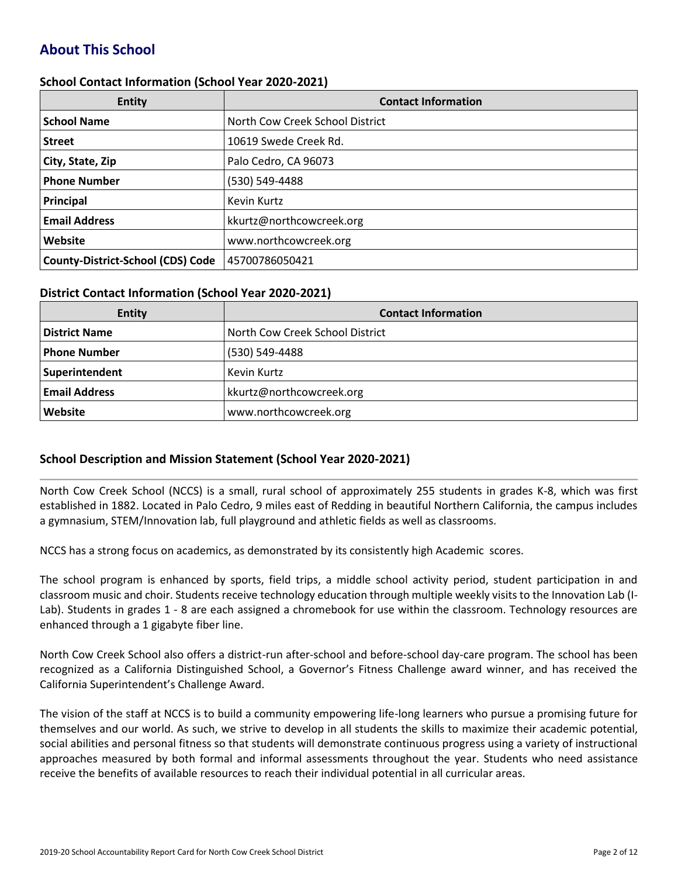# **About This School**

#### **School Contact Information (School Year 2020-2021)**

| <b>Entity</b>                            | <b>Contact Information</b>      |
|------------------------------------------|---------------------------------|
| <b>School Name</b>                       | North Cow Creek School District |
| <b>Street</b>                            | 10619 Swede Creek Rd.           |
| City, State, Zip                         | Palo Cedro, CA 96073            |
| <b>Phone Number</b>                      | (530) 549-4488                  |
| Principal                                | Kevin Kurtz                     |
| <b>Email Address</b>                     | kkurtz@northcowcreek.org        |
| Website                                  | www.northcowcreek.org           |
| <b>County-District-School (CDS) Code</b> | 45700786050421                  |

#### **District Contact Information (School Year 2020-2021)**

| <b>Entity</b>        | <b>Contact Information</b>      |  |  |  |
|----------------------|---------------------------------|--|--|--|
| <b>District Name</b> | North Cow Creek School District |  |  |  |
| <b>Phone Number</b>  | (530) 549-4488                  |  |  |  |
| Superintendent       | <b>Kevin Kurtz</b>              |  |  |  |
| <b>Email Address</b> | kkurtz@northcowcreek.org        |  |  |  |
| Website              | www.northcowcreek.org           |  |  |  |

#### **School Description and Mission Statement (School Year 2020-2021)**

North Cow Creek School (NCCS) is a small, rural school of approximately 255 students in grades K-8, which was first established in 1882. Located in Palo Cedro, 9 miles east of Redding in beautiful Northern California, the campus includes a gymnasium, STEM/Innovation lab, full playground and athletic fields as well as classrooms.

NCCS has a strong focus on academics, as demonstrated by its consistently high Academic scores.

The school program is enhanced by sports, field trips, a middle school activity period, student participation in and classroom music and choir. Students receive technology education through multiple weekly visits to the Innovation Lab (I-Lab). Students in grades 1 - 8 are each assigned a chromebook for use within the classroom. Technology resources are enhanced through a 1 gigabyte fiber line.

North Cow Creek School also offers a district-run after-school and before-school day-care program. The school has been recognized as a California Distinguished School, a Governor's Fitness Challenge award winner, and has received the California Superintendent's Challenge Award.

The vision of the staff at NCCS is to build a community empowering life-long learners who pursue a promising future for themselves and our world. As such, we strive to develop in all students the skills to maximize their academic potential, social abilities and personal fitness so that students will demonstrate continuous progress using a variety of instructional approaches measured by both formal and informal assessments throughout the year. Students who need assistance receive the benefits of available resources to reach their individual potential in all curricular areas.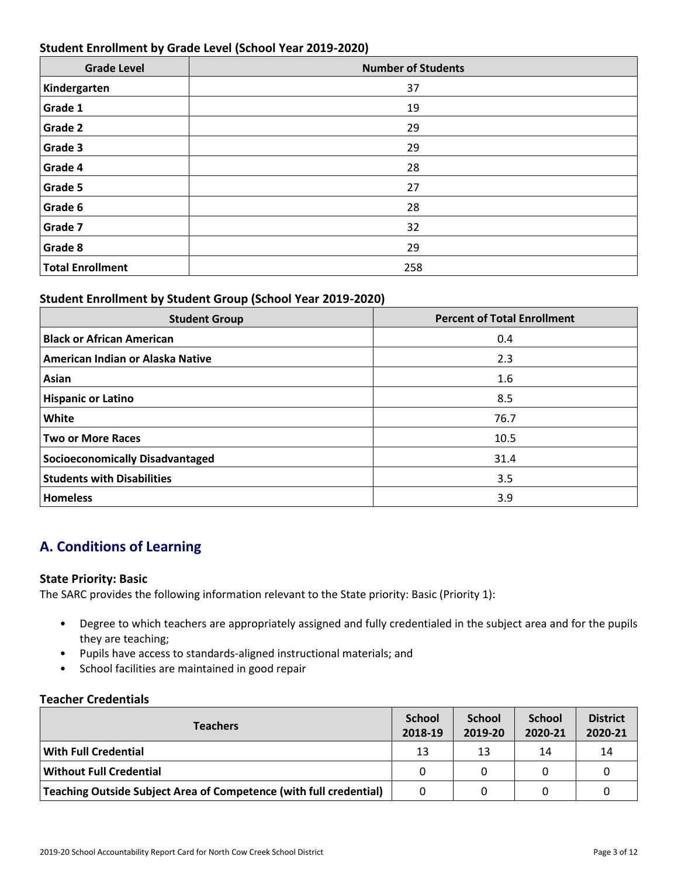## **Student Enrollment by Grade Level (School Year 2019-2020)**

| <b>Grade Level</b>      | <b>Number of Students</b> |
|-------------------------|---------------------------|
| Kindergarten            | 37                        |
| Grade 1                 | 19                        |
| <b>Grade 2</b>          | 29                        |
| Grade 3                 | 29                        |
| Grade 4                 | 28                        |
| Grade 5                 | 27                        |
| Grade 6                 | 28                        |
| Grade 7                 | 32                        |
| Grade 8                 | 29                        |
| <b>Total Enrollment</b> | 258                       |

## **Student Enrollment by Student Group (School Year 2019-2020)**

| <b>Student Group</b>                   | <b>Percent of Total Enrollment</b> |
|----------------------------------------|------------------------------------|
| <b>Black or African American</b>       | 0.4                                |
| American Indian or Alaska Native       | 2.3                                |
| Asian                                  | 1.6                                |
| <b>Hispanic or Latino</b>              | 8.5                                |
| <b>White</b>                           | 76.7                               |
| <b>Two or More Races</b>               | 10.5                               |
| <b>Socioeconomically Disadvantaged</b> | 31.4                               |
| <b>Students with Disabilities</b>      | 3.5                                |
| <b>Homeless</b>                        | 3.9                                |

# **A. Conditions of Learning**

#### **State Priority: Basic**

The SARC provides the following information relevant to the State priority: Basic (Priority 1):

- Degree to which teachers are appropriately assigned and fully credentialed in the subject area and for the pupils they are teaching;
- Pupils have access to standards-aligned instructional materials; and
- School facilities are maintained in good repair

#### **Teacher Credentials**

| <b>Teachers</b>                                                    |    | <b>School</b><br>2019-20 | <b>School</b><br>2020-21 | <b>District</b><br>2020-21 |
|--------------------------------------------------------------------|----|--------------------------|--------------------------|----------------------------|
| <b>With Full Credential</b>                                        | 13 | 13                       | 14                       | 14                         |
| <b>Without Full Credential</b>                                     |    |                          |                          |                            |
| Teaching Outside Subject Area of Competence (with full credential) |    |                          |                          |                            |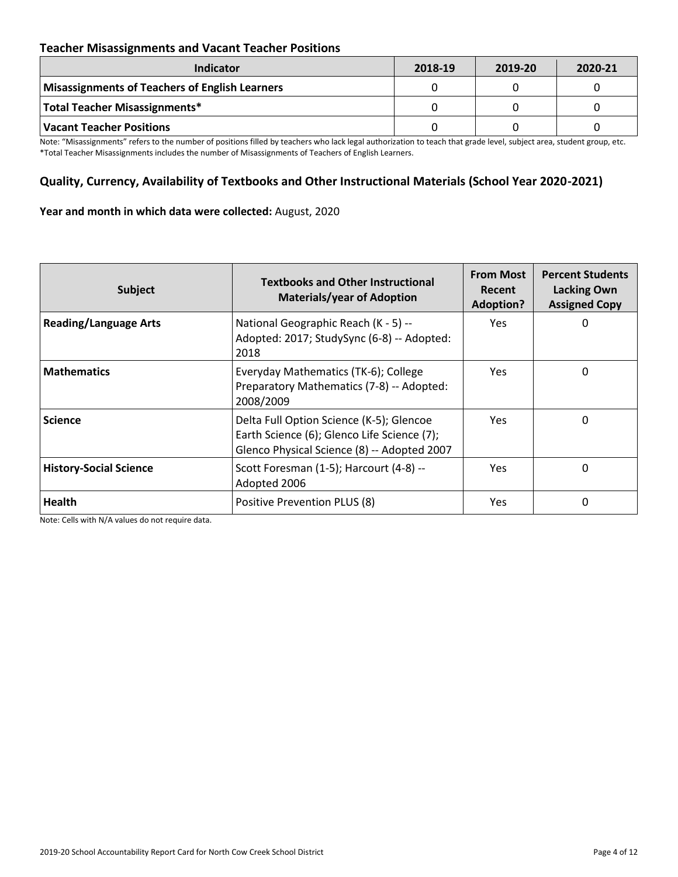## **Teacher Misassignments and Vacant Teacher Positions**

| <b>Indicator</b>                               | 2018-19 | 2019-20 | 2020-21 |
|------------------------------------------------|---------|---------|---------|
| Misassignments of Teachers of English Learners |         |         |         |
| Total Teacher Misassignments*                  |         |         |         |
| Vacant Teacher Positions                       |         |         |         |

Note: "Misassignments" refers to the number of positions filled by teachers who lack legal authorization to teach that grade level, subject area, student group, etc. \*Total Teacher Misassignments includes the number of Misassignments of Teachers of English Learners.

## **Quality, Currency, Availability of Textbooks and Other Instructional Materials (School Year 2020-2021)**

#### **Year and month in which data were collected:** August, 2020

| Subject                       | <b>Textbooks and Other Instructional</b><br><b>Materials/year of Adoption</b>                                                          | <b>From Most</b><br>Recent<br><b>Adoption?</b> | <b>Percent Students</b><br><b>Lacking Own</b><br><b>Assigned Copy</b> |
|-------------------------------|----------------------------------------------------------------------------------------------------------------------------------------|------------------------------------------------|-----------------------------------------------------------------------|
| <b>Reading/Language Arts</b>  | National Geographic Reach (K - 5) --<br>Adopted: 2017; StudySync (6-8) -- Adopted:<br>2018                                             | Yes.                                           | 0                                                                     |
| <b>Mathematics</b>            | Everyday Mathematics (TK-6); College<br>Preparatory Mathematics (7-8) -- Adopted:<br>2008/2009                                         | Yes.                                           | 0                                                                     |
| <b>Science</b>                | Delta Full Option Science (K-5); Glencoe<br>Earth Science (6); Glenco Life Science (7);<br>Glenco Physical Science (8) -- Adopted 2007 | <b>Yes</b>                                     | 0                                                                     |
| <b>History-Social Science</b> | Scott Foresman (1-5); Harcourt (4-8) --<br>Adopted 2006                                                                                | Yes.                                           | 0                                                                     |
| <b>Health</b>                 | Positive Prevention PLUS (8)                                                                                                           | <b>Yes</b>                                     | 0                                                                     |

Note: Cells with N/A values do not require data.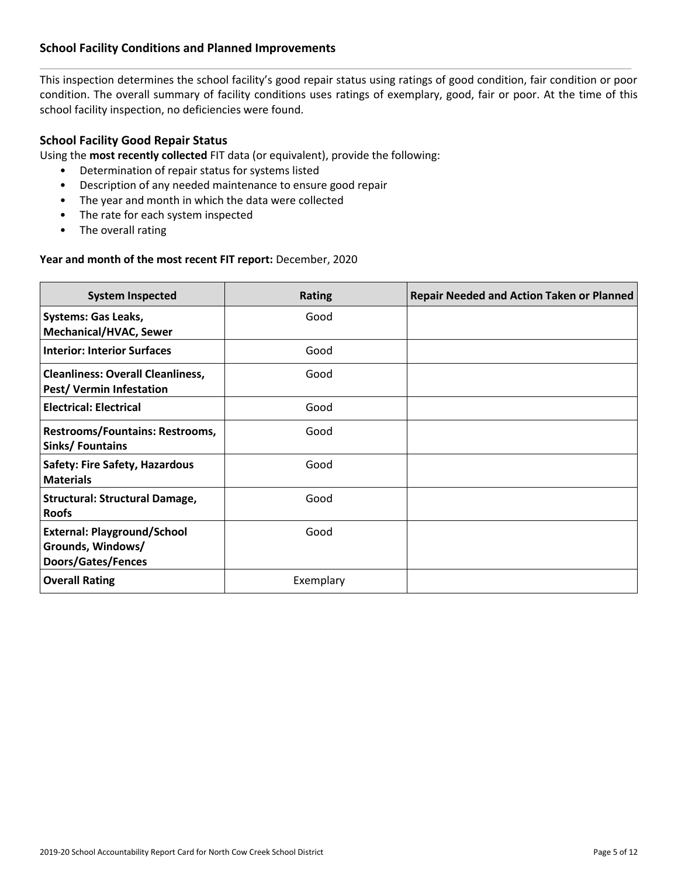## **School Facility Conditions and Planned Improvements**

This inspection determines the school facility's good repair status using ratings of good condition, fair condition or poor condition. The overall summary of facility conditions uses ratings of exemplary, good, fair or poor. At the time of this school facility inspection, no deficiencies were found.

## **School Facility Good Repair Status**

Using the **most recently collected** FIT data (or equivalent), provide the following:

- Determination of repair status for systems listed
- Description of any needed maintenance to ensure good repair
- The year and month in which the data were collected
- The rate for each system inspected
- The overall rating

#### **Year and month of the most recent FIT report:** December, 2020

| <b>System Inspected</b>                                                              | <b>Rating</b> | <b>Repair Needed and Action Taken or Planned</b> |
|--------------------------------------------------------------------------------------|---------------|--------------------------------------------------|
| <b>Systems: Gas Leaks,</b><br><b>Mechanical/HVAC, Sewer</b>                          | Good          |                                                  |
| <b>Interior: Interior Surfaces</b>                                                   | Good          |                                                  |
| <b>Cleanliness: Overall Cleanliness,</b><br><b>Pest/ Vermin Infestation</b>          | Good          |                                                  |
| <b>Electrical: Electrical</b>                                                        | Good          |                                                  |
| Restrooms/Fountains: Restrooms,<br>Sinks/Fountains                                   | Good          |                                                  |
| <b>Safety: Fire Safety, Hazardous</b><br><b>Materials</b>                            | Good          |                                                  |
| <b>Structural: Structural Damage,</b><br><b>Roofs</b>                                | Good          |                                                  |
| <b>External: Playground/School</b><br>Grounds, Windows/<br><b>Doors/Gates/Fences</b> | Good          |                                                  |
| <b>Overall Rating</b>                                                                | Exemplary     |                                                  |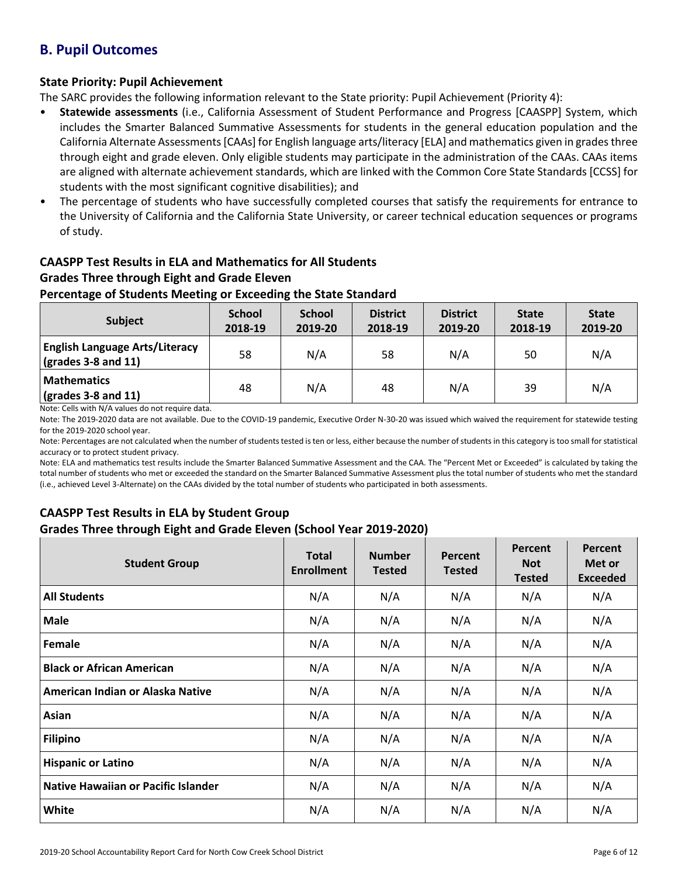## **B. Pupil Outcomes**

## **State Priority: Pupil Achievement**

The SARC provides the following information relevant to the State priority: Pupil Achievement (Priority 4):

- **Statewide assessments** (i.e., California Assessment of Student Performance and Progress [CAASPP] System, which includes the Smarter Balanced Summative Assessments for students in the general education population and the California Alternate Assessments [CAAs] for English language arts/literacy [ELA] and mathematics given in grades three through eight and grade eleven. Only eligible students may participate in the administration of the CAAs. CAAs items are aligned with alternate achievement standards, which are linked with the Common Core State Standards [CCSS] for students with the most significant cognitive disabilities); and
- The percentage of students who have successfully completed courses that satisfy the requirements for entrance to the University of California and the California State University, or career technical education sequences or programs of study.

# **CAASPP Test Results in ELA and Mathematics for All Students**

## **Grades Three through Eight and Grade Eleven**

## **Percentage of Students Meeting or Exceeding the State Standard**

| Subject                                                              | <b>School</b><br>2018-19 | <b>School</b><br>2019-20 | <b>District</b><br>2018-19 | <b>District</b><br>2019-20 | <b>State</b><br>2018-19 | <b>State</b><br>2019-20 |
|----------------------------------------------------------------------|--------------------------|--------------------------|----------------------------|----------------------------|-------------------------|-------------------------|
| <b>English Language Arts/Literacy</b><br>$\vert$ (grades 3-8 and 11) | 58                       | N/A                      | 58                         | N/A                        | 50                      | N/A                     |
| <b>Mathematics</b><br>$\sqrt{\frac{1}{2}}$ (grades 3-8 and 11)       | 48                       | N/A                      | 48                         | N/A                        | 39                      | N/A                     |

Note: Cells with N/A values do not require data.

Note: The 2019-2020 data are not available. Due to the COVID-19 pandemic, Executive Order N-30-20 was issued which waived the requirement for statewide testing for the 2019-2020 school year.

Note: Percentages are not calculated when the number of students tested is ten or less, either because the number of students in this category is too small for statistical accuracy or to protect student privacy.

Note: ELA and mathematics test results include the Smarter Balanced Summative Assessment and the CAA. The "Percent Met or Exceeded" is calculated by taking the total number of students who met or exceeded the standard on the Smarter Balanced Summative Assessment plus the total number of students who met the standard (i.e., achieved Level 3-Alternate) on the CAAs divided by the total number of students who participated in both assessments.

## **CAASPP Test Results in ELA by Student Group Grades Three through Eight and Grade Eleven (School Year 2019-2020)**

| <b>Student Group</b>                | <b>Total</b><br><b>Enrollment</b> | <b>Number</b><br><b>Tested</b> | Percent<br><b>Tested</b> | Percent<br><b>Not</b><br><b>Tested</b> | Percent<br>Met or<br><b>Exceeded</b> |
|-------------------------------------|-----------------------------------|--------------------------------|--------------------------|----------------------------------------|--------------------------------------|
| <b>All Students</b>                 | N/A                               | N/A                            | N/A                      | N/A                                    | N/A                                  |
| <b>Male</b>                         | N/A                               | N/A                            | N/A                      | N/A                                    | N/A                                  |
| Female                              | N/A                               | N/A                            | N/A                      | N/A                                    | N/A                                  |
| <b>Black or African American</b>    | N/A                               | N/A                            | N/A                      | N/A                                    | N/A                                  |
| American Indian or Alaska Native    | N/A                               | N/A                            | N/A                      | N/A                                    | N/A                                  |
| Asian                               | N/A                               | N/A                            | N/A                      | N/A                                    | N/A                                  |
| <b>Filipino</b>                     | N/A                               | N/A                            | N/A                      | N/A                                    | N/A                                  |
| <b>Hispanic or Latino</b>           | N/A                               | N/A                            | N/A                      | N/A                                    | N/A                                  |
| Native Hawaiian or Pacific Islander | N/A                               | N/A                            | N/A                      | N/A                                    | N/A                                  |
| White                               | N/A                               | N/A                            | N/A                      | N/A                                    | N/A                                  |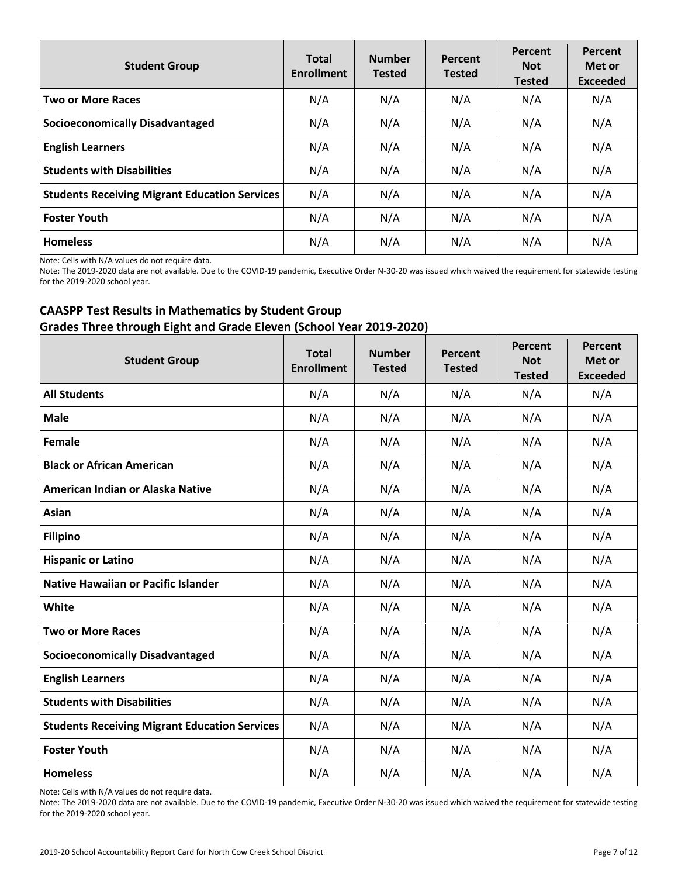| <b>Student Group</b>                                 | <b>Total</b><br><b>Enrollment</b> | <b>Number</b><br><b>Tested</b> | Percent<br><b>Tested</b> | Percent<br><b>Not</b><br><b>Tested</b> | Percent<br>Met or<br><b>Exceeded</b> |
|------------------------------------------------------|-----------------------------------|--------------------------------|--------------------------|----------------------------------------|--------------------------------------|
| <b>Two or More Races</b>                             | N/A                               | N/A                            | N/A                      | N/A                                    | N/A                                  |
| <b>Socioeconomically Disadvantaged</b>               | N/A                               | N/A                            | N/A                      | N/A                                    | N/A                                  |
| <b>English Learners</b>                              | N/A                               | N/A                            | N/A                      | N/A                                    | N/A                                  |
| <b>Students with Disabilities</b>                    | N/A                               | N/A                            | N/A                      | N/A                                    | N/A                                  |
| <b>Students Receiving Migrant Education Services</b> | N/A                               | N/A                            | N/A                      | N/A                                    | N/A                                  |
| <b>Foster Youth</b>                                  | N/A                               | N/A                            | N/A                      | N/A                                    | N/A                                  |
| <b>Homeless</b>                                      | N/A                               | N/A                            | N/A                      | N/A                                    | N/A                                  |

Note: Cells with N/A values do not require data.

Note: The 2019-2020 data are not available. Due to the COVID-19 pandemic, Executive Order N-30-20 was issued which waived the requirement for statewide testing for the 2019-2020 school year.

## **CAASPP Test Results in Mathematics by Student Group Grades Three through Eight and Grade Eleven (School Year 2019-2020)**

| <b>Student Group</b>                                 | <b>Total</b><br><b>Enrollment</b> | <b>Number</b><br><b>Tested</b> | Percent<br><b>Tested</b> | Percent<br><b>Not</b><br><b>Tested</b> | Percent<br>Met or<br><b>Exceeded</b> |
|------------------------------------------------------|-----------------------------------|--------------------------------|--------------------------|----------------------------------------|--------------------------------------|
| <b>All Students</b>                                  | N/A                               | N/A                            | N/A                      | N/A                                    | N/A                                  |
| <b>Male</b>                                          | N/A                               | N/A                            | N/A                      | N/A                                    | N/A                                  |
| Female                                               | N/A                               | N/A                            | N/A                      | N/A                                    | N/A                                  |
| <b>Black or African American</b>                     | N/A                               | N/A                            | N/A                      | N/A                                    | N/A                                  |
| American Indian or Alaska Native                     | N/A                               | N/A                            | N/A                      | N/A                                    | N/A                                  |
| Asian                                                | N/A                               | N/A                            | N/A                      | N/A                                    | N/A                                  |
| <b>Filipino</b>                                      | N/A                               | N/A                            | N/A                      | N/A                                    | N/A                                  |
| <b>Hispanic or Latino</b>                            | N/A                               | N/A                            | N/A                      | N/A                                    | N/A                                  |
| <b>Native Hawaiian or Pacific Islander</b>           | N/A                               | N/A                            | N/A                      | N/A                                    | N/A                                  |
| White                                                | N/A                               | N/A                            | N/A                      | N/A                                    | N/A                                  |
| <b>Two or More Races</b>                             | N/A                               | N/A                            | N/A                      | N/A                                    | N/A                                  |
| <b>Socioeconomically Disadvantaged</b>               | N/A                               | N/A                            | N/A                      | N/A                                    | N/A                                  |
| <b>English Learners</b>                              | N/A                               | N/A                            | N/A                      | N/A                                    | N/A                                  |
| <b>Students with Disabilities</b>                    | N/A                               | N/A                            | N/A                      | N/A                                    | N/A                                  |
| <b>Students Receiving Migrant Education Services</b> | N/A                               | N/A                            | N/A                      | N/A                                    | N/A                                  |
| <b>Foster Youth</b>                                  | N/A                               | N/A                            | N/A                      | N/A                                    | N/A                                  |
| <b>Homeless</b>                                      | N/A                               | N/A                            | N/A                      | N/A                                    | N/A                                  |

Note: Cells with N/A values do not require data.

Note: The 2019-2020 data are not available. Due to the COVID-19 pandemic, Executive Order N-30-20 was issued which waived the requirement for statewide testing for the 2019-2020 school year.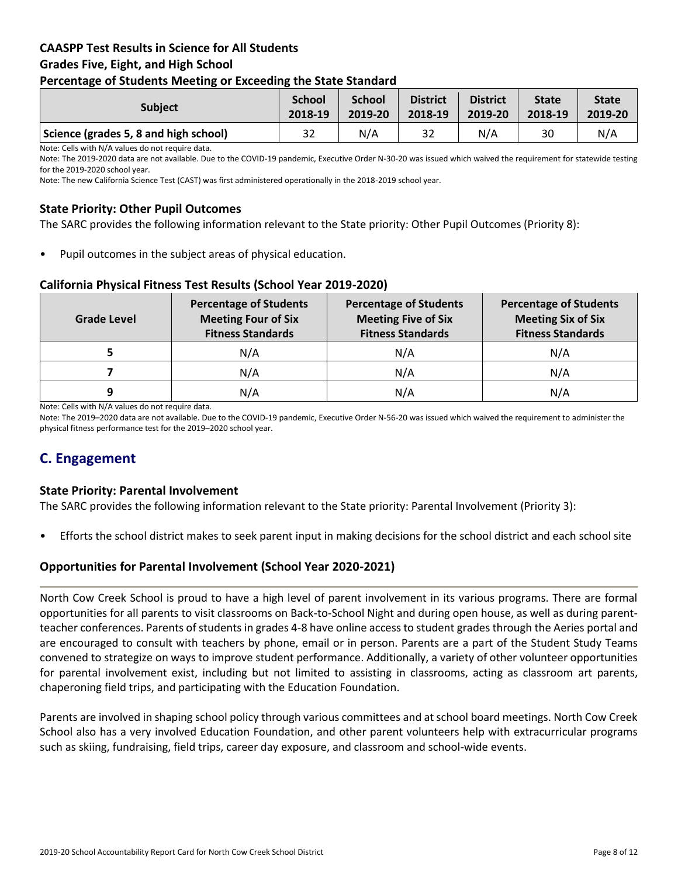## **CAASPP Test Results in Science for All Students Grades Five, Eight, and High School Percentage of Students Meeting or Exceeding the State Standard**

| -                                     |                          |                          |                            |                            |                         |                         |
|---------------------------------------|--------------------------|--------------------------|----------------------------|----------------------------|-------------------------|-------------------------|
| <b>Subject</b>                        | <b>School</b><br>2018-19 | <b>School</b><br>2019-20 | <b>District</b><br>2018-19 | <b>District</b><br>2019-20 | <b>State</b><br>2018-19 | <b>State</b><br>2019-20 |
| Science (grades 5, 8 and high school) | 32                       | N/A                      | 32                         | N/A                        | 30                      | N/A                     |

Note: Cells with N/A values do not require data.

Note: The 2019-2020 data are not available. Due to the COVID-19 pandemic, Executive Order N-30-20 was issued which waived the requirement for statewide testing for the 2019-2020 school year.

Note: The new California Science Test (CAST) was first administered operationally in the 2018-2019 school year.

## **State Priority: Other Pupil Outcomes**

The SARC provides the following information relevant to the State priority: Other Pupil Outcomes (Priority 8):

Pupil outcomes in the subject areas of physical education.

#### **California Physical Fitness Test Results (School Year 2019-2020)**

| Grade Level | <b>Percentage of Students</b><br><b>Meeting Four of Six</b><br><b>Fitness Standards</b> | <b>Percentage of Students</b><br><b>Meeting Five of Six</b><br><b>Fitness Standards</b> | <b>Percentage of Students</b><br><b>Meeting Six of Six</b><br><b>Fitness Standards</b> |
|-------------|-----------------------------------------------------------------------------------------|-----------------------------------------------------------------------------------------|----------------------------------------------------------------------------------------|
|             | N/A                                                                                     | N/A                                                                                     | N/A                                                                                    |
|             | N/A                                                                                     | N/A                                                                                     | N/A                                                                                    |
| q           | N/A                                                                                     | N/A                                                                                     | N/A                                                                                    |

Note: Cells with N/A values do not require data.

Note: The 2019–2020 data are not available. Due to the COVID-19 pandemic, Executive Order N-56-20 was issued which waived the requirement to administer the physical fitness performance test for the 2019–2020 school year.

## **C. Engagement**

#### **State Priority: Parental Involvement**

The SARC provides the following information relevant to the State priority: Parental Involvement (Priority 3):

• Efforts the school district makes to seek parent input in making decisions for the school district and each school site

#### **Opportunities for Parental Involvement (School Year 2020-2021)**

North Cow Creek School is proud to have a high level of parent involvement in its various programs. There are formal opportunities for all parents to visit classrooms on Back-to-School Night and during open house, as well as during parentteacher conferences. Parents of students in grades 4-8 have online access to student grades through the Aeries portal and are encouraged to consult with teachers by phone, email or in person. Parents are a part of the Student Study Teams convened to strategize on ways to improve student performance. Additionally, a variety of other volunteer opportunities for parental involvement exist, including but not limited to assisting in classrooms, acting as classroom art parents, chaperoning field trips, and participating with the Education Foundation.

Parents are involved in shaping school policy through various committees and at school board meetings. North Cow Creek School also has a very involved Education Foundation, and other parent volunteers help with extracurricular programs such as skiing, fundraising, field trips, career day exposure, and classroom and school-wide events.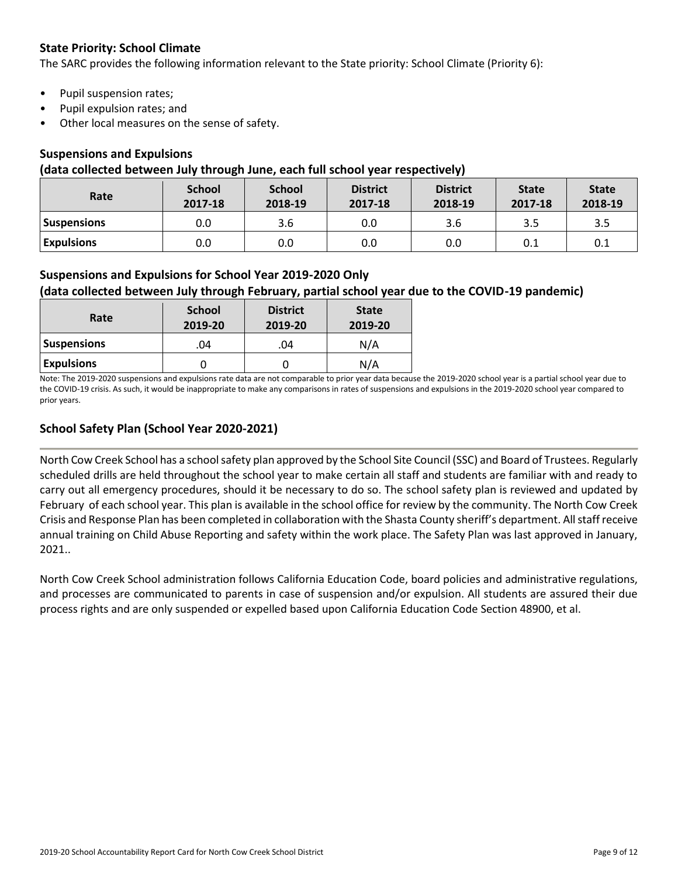## **State Priority: School Climate**

The SARC provides the following information relevant to the State priority: School Climate (Priority 6):

- Pupil suspension rates;
- Pupil expulsion rates; and
- Other local measures on the sense of safety.

#### **Suspensions and Expulsions**

#### **(data collected between July through June, each full school year respectively)**

| Rate               | <b>School</b><br>2017-18 | <b>School</b><br>2018-19 | <b>District</b><br>2017-18 | <b>District</b><br>2018-19 | <b>State</b><br>2017-18 | <b>State</b><br>2018-19 |
|--------------------|--------------------------|--------------------------|----------------------------|----------------------------|-------------------------|-------------------------|
| <b>Suspensions</b> | 0.0                      | 3.6                      | 0.0                        | 3.6                        | 3.5                     | 3.5                     |
| <b>Expulsions</b>  | 0.0                      | 0.0                      | 0.0                        | 0.0                        | 0.1                     | 0.1                     |

## **Suspensions and Expulsions for School Year 2019-2020 Only**

## **(data collected between July through February, partial school year due to the COVID-19 pandemic)**

| Rate               | <b>School</b><br>2019-20 | <b>District</b><br>2019-20 | <b>State</b><br>2019-20 |
|--------------------|--------------------------|----------------------------|-------------------------|
| <b>Suspensions</b> | .04                      | .04                        | N/A                     |
| <b>Expulsions</b>  |                          |                            | N/A                     |

Note: The 2019-2020 suspensions and expulsions rate data are not comparable to prior year data because the 2019-2020 school year is a partial school year due to the COVID-19 crisis. As such, it would be inappropriate to make any comparisons in rates of suspensions and expulsions in the 2019-2020 school year compared to prior years.

## **School Safety Plan (School Year 2020-2021)**

North Cow Creek School has a school safety plan approved by the School Site Council (SSC) and Board of Trustees. Regularly scheduled drills are held throughout the school year to make certain all staff and students are familiar with and ready to carry out all emergency procedures, should it be necessary to do so. The school safety plan is reviewed and updated by February of each school year. This plan is available in the school office for review by the community. The North Cow Creek Crisis and Response Plan has been completed in collaboration with the Shasta County sheriff's department. All staff receive annual training on Child Abuse Reporting and safety within the work place. The Safety Plan was last approved in January, 2021..

North Cow Creek School administration follows California Education Code, board policies and administrative regulations, and processes are communicated to parents in case of suspension and/or expulsion. All students are assured their due process rights and are only suspended or expelled based upon California Education Code Section 48900, et al.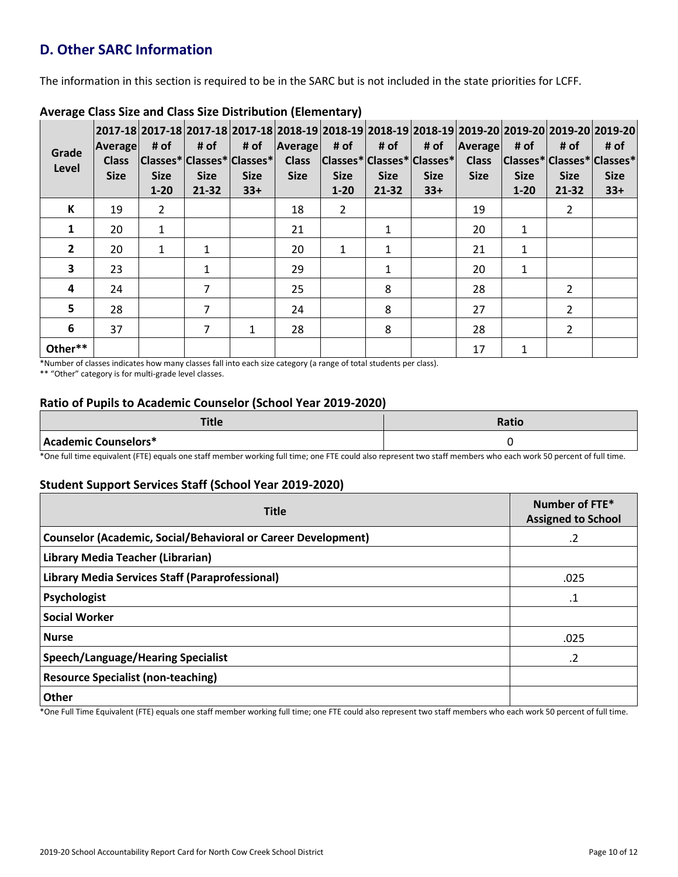# **D. Other SARC Information**

The information in this section is required to be in the SARC but is not included in the state priorities for LCFF.

| Grade<br>Level | Average<br><b>Class</b><br><b>Size</b> | # of<br><b>Size</b><br>$1 - 20$ | # of<br><b>Size</b><br>21-32 | 2017-18  2017-18  2017-18  2017-18  2018-19  2018-19  2018-19  2018-19  2019-20  2019-20  2019-20  2019-20 <br># of<br> Classes* Classes* Classes* <br><b>Size</b><br>$33+$ | Average<br><b>Class</b><br><b>Size</b> | # of<br><b>Size</b><br>$1 - 20$ | # of<br> Classes* Classes* Classes* <br><b>Size</b><br>21-32 | # of<br><b>Size</b><br>$33+$ | Average<br><b>Class</b><br><b>Size</b> | # of<br> Classes* Classes* Classes* <br><b>Size</b><br>$1 - 20$ | # of<br><b>Size</b><br>21-32 | # of<br><b>Size</b><br>$33+$ |
|----------------|----------------------------------------|---------------------------------|------------------------------|-----------------------------------------------------------------------------------------------------------------------------------------------------------------------------|----------------------------------------|---------------------------------|--------------------------------------------------------------|------------------------------|----------------------------------------|-----------------------------------------------------------------|------------------------------|------------------------------|
| К              | 19                                     | $\overline{2}$                  |                              |                                                                                                                                                                             | 18                                     | $\overline{2}$                  |                                                              |                              | 19                                     |                                                                 | $\overline{2}$               |                              |
| 1              | 20                                     | $\mathbf{1}$                    |                              |                                                                                                                                                                             | 21                                     |                                 | $\mathbf{1}$                                                 |                              | 20                                     | $\mathbf{1}$                                                    |                              |                              |
| $\mathbf{2}$   | 20                                     | $\mathbf{1}$                    | $\mathbf{1}$                 |                                                                                                                                                                             | 20                                     | 1                               | $\mathbf{1}$                                                 |                              | 21                                     | 1                                                               |                              |                              |
| $\mathbf{3}$   | 23                                     |                                 | 1                            |                                                                                                                                                                             | 29                                     |                                 | 1                                                            |                              | 20                                     | 1                                                               |                              |                              |
| 4              | 24                                     |                                 | 7                            |                                                                                                                                                                             | 25                                     |                                 | 8                                                            |                              | 28                                     |                                                                 | $\overline{2}$               |                              |
| 5              | 28                                     |                                 | 7                            |                                                                                                                                                                             | 24                                     |                                 | 8                                                            |                              | 27                                     |                                                                 | $\overline{2}$               |                              |
| 6              | 37                                     |                                 | 7                            | 1                                                                                                                                                                           | 28                                     |                                 | 8                                                            |                              | 28                                     |                                                                 | $\overline{\mathcal{L}}$     |                              |
| Other**        |                                        |                                 |                              |                                                                                                                                                                             |                                        |                                 |                                                              |                              | 17                                     | 1                                                               |                              |                              |

## **Average Class Size and Class Size Distribution (Elementary)**

\*Number of classes indicates how many classes fall into each size category (a range of total students per class).

\*\* "Other" category is for multi-grade level classes.

## **Ratio of Pupils to Academic Counselor (School Year 2019-2020)**

| Tue                  | <b>Ratio</b> |
|----------------------|--------------|
| Academic Counselors* |              |

\*One full time equivalent (FTE) equals one staff member working full time; one FTE could also represent two staff members who each work 50 percent of full time.

## **Student Support Services Staff (School Year 2019-2020)**

| <b>Title</b>                                                         | Number of FTE*<br><b>Assigned to School</b> |
|----------------------------------------------------------------------|---------------------------------------------|
| <b>Counselor (Academic, Social/Behavioral or Career Development)</b> | .2                                          |
| Library Media Teacher (Librarian)                                    |                                             |
| <b>Library Media Services Staff (Paraprofessional)</b>               | .025                                        |
| Psychologist                                                         | .1                                          |
| <b>Social Worker</b>                                                 |                                             |
| <b>Nurse</b>                                                         | .025                                        |
| <b>Speech/Language/Hearing Specialist</b>                            | $\cdot$ .2                                  |
| <b>Resource Specialist (non-teaching)</b>                            |                                             |
| Other                                                                |                                             |

\*One Full Time Equivalent (FTE) equals one staff member working full time; one FTE could also represent two staff members who each work 50 percent of full time.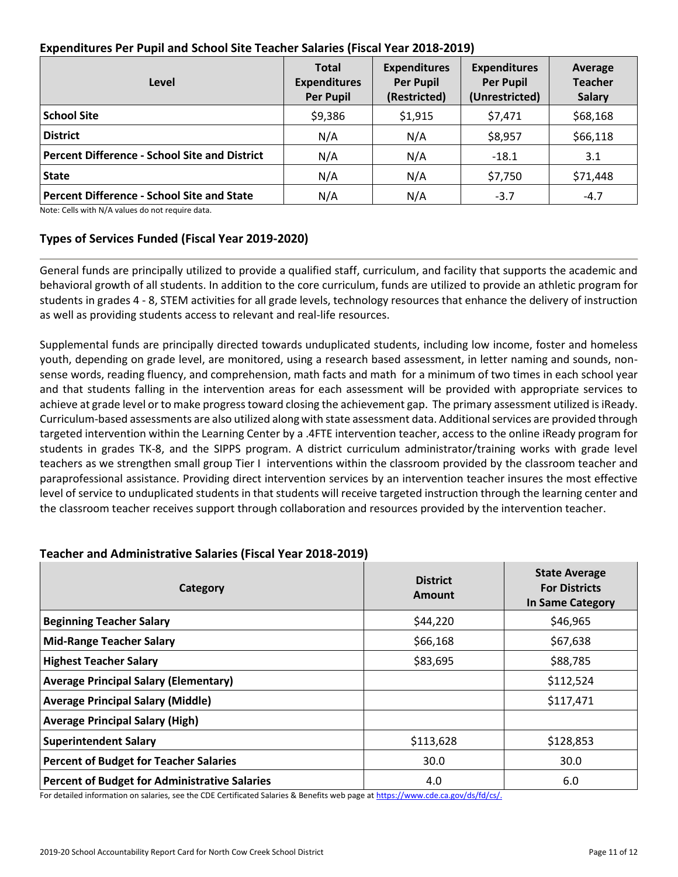| Level                                                | <b>Total</b><br><b>Expenditures</b><br><b>Per Pupil</b> | <b>Expenditures</b><br><b>Per Pupil</b><br>(Restricted) | <b>Expenditures</b><br><b>Per Pupil</b><br>(Unrestricted) | Average<br><b>Teacher</b><br><b>Salary</b> |
|------------------------------------------------------|---------------------------------------------------------|---------------------------------------------------------|-----------------------------------------------------------|--------------------------------------------|
| <b>School Site</b>                                   | \$9,386                                                 | \$1,915                                                 | \$7,471                                                   | \$68,168                                   |
| <b>District</b>                                      | N/A                                                     | N/A                                                     | \$8,957                                                   | \$66,118                                   |
| <b>Percent Difference - School Site and District</b> | N/A                                                     | N/A                                                     | $-18.1$                                                   | 3.1                                        |
| <b>State</b>                                         | N/A                                                     | N/A                                                     | \$7,750                                                   | \$71,448                                   |
| <b>Percent Difference - School Site and State</b>    | N/A                                                     | N/A                                                     | $-3.7$                                                    | $-4.7$                                     |

## **Expenditures Per Pupil and School Site Teacher Salaries (Fiscal Year 2018-2019)**

Note: Cells with N/A values do not require data.

## **Types of Services Funded (Fiscal Year 2019-2020)**

General funds are principally utilized to provide a qualified staff, curriculum, and facility that supports the academic and behavioral growth of all students. In addition to the core curriculum, funds are utilized to provide an athletic program for students in grades 4 - 8, STEM activities for all grade levels, technology resources that enhance the delivery of instruction as well as providing students access to relevant and real-life resources.

Supplemental funds are principally directed towards unduplicated students, including low income, foster and homeless youth, depending on grade level, are monitored, using a research based assessment, in letter naming and sounds, nonsense words, reading fluency, and comprehension, math facts and math for a minimum of two times in each school year and that students falling in the intervention areas for each assessment will be provided with appropriate services to achieve at grade level or to make progress toward closing the achievement gap. The primary assessment utilized is iReady. Curriculum-based assessments are also utilized along with state assessment data. Additional services are provided through targeted intervention within the Learning Center by a .4FTE intervention teacher, access to the online iReady program for students in grades TK-8, and the SIPPS program. A district curriculum administrator/training works with grade level teachers as we strengthen small group Tier I interventions within the classroom provided by the classroom teacher and paraprofessional assistance. Providing direct intervention services by an intervention teacher insures the most effective level of service to unduplicated students in that students will receive targeted instruction through the learning center and the classroom teacher receives support through collaboration and resources provided by the intervention teacher.

| Category                                             | <b>District</b><br>Amount | <b>State Average</b><br><b>For Districts</b><br>In Same Category |
|------------------------------------------------------|---------------------------|------------------------------------------------------------------|
| <b>Beginning Teacher Salary</b>                      | \$44,220                  | \$46,965                                                         |
| <b>Mid-Range Teacher Salary</b>                      | \$66,168                  | \$67,638                                                         |
| <b>Highest Teacher Salary</b>                        | \$83,695                  | \$88,785                                                         |
| <b>Average Principal Salary (Elementary)</b>         |                           | \$112,524                                                        |
| <b>Average Principal Salary (Middle)</b>             |                           | \$117,471                                                        |
| <b>Average Principal Salary (High)</b>               |                           |                                                                  |
| <b>Superintendent Salary</b>                         | \$113,628                 | \$128,853                                                        |
| <b>Percent of Budget for Teacher Salaries</b>        | 30.0                      | 30.0                                                             |
| <b>Percent of Budget for Administrative Salaries</b> | 4.0                       | 6.0                                                              |

## **Teacher and Administrative Salaries (Fiscal Year 2018-2019)**

For detailed information on salaries, see the CDE Certificated Salaries & Benefits web page at [https://www.cde.ca.gov/ds/fd/cs/.](https://www.cde.ca.gov/ds/fd/cs/)